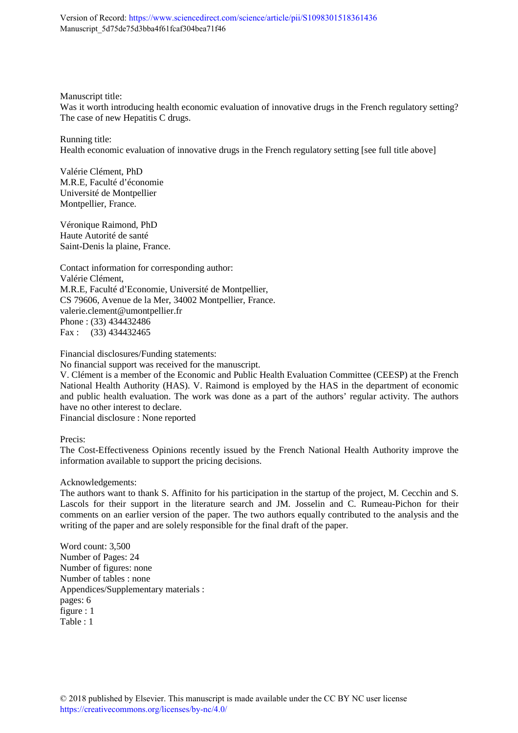Version of Record:<https://www.sciencedirect.com/science/article/pii/S1098301518361436> Manuscript\_5d75de75d3bba4f61fcaf304bea71f46

Manuscript title:

Was it worth introducing health economic evaluation of innovative drugs in the French regulatory setting? The case of new Hepatitis C drugs.

Running title: Health economic evaluation of innovative drugs in the French regulatory setting [see full title above]

Valérie Clément, PhD M.R.E, Faculté d'économie Université de Montpellier Montpellier, France.

Véronique Raimond, PhD Haute Autorité de santé Saint-Denis la plaine, France.

Contact information for corresponding author: Valérie Clément, M.R.E, Faculté d'Economie, Université de Montpellier, CS 79606, Avenue de la Mer, 34002 Montpellier, France. valerie.clement@umontpellier.fr Phone : (33) 434432486 Fax : (33) 434432465

Financial disclosures/Funding statements:

No financial support was received for the manuscript.

V. Clément is a member of the Economic and Public Health Evaluation Committee (CEESP) at the French National Health Authority (HAS). V. Raimond is employed by the HAS in the department of economic and public health evaluation. The work was done as a part of the authors' regular activity. The authors have no other interest to declare.

Financial disclosure : None reported

Precis:

The Cost-Effectiveness Opinions recently issued by the French National Health Authority improve the information available to support the pricing decisions.

Acknowledgements:

The authors want to thank S. Affinito for his participation in the startup of the project, M. Cecchin and S. Lascols for their support in the literature search and JM. Josselin and C. Rumeau-Pichon for their comments on an earlier version of the paper. The two authors equally contributed to the analysis and the writing of the paper and are solely responsible for the final draft of the paper.

Word count: 3,500 Number of Pages: 24 Number of figures: none Number of tables : none Appendices/Supplementary materials : pages: 6 figure : 1  $Table 1$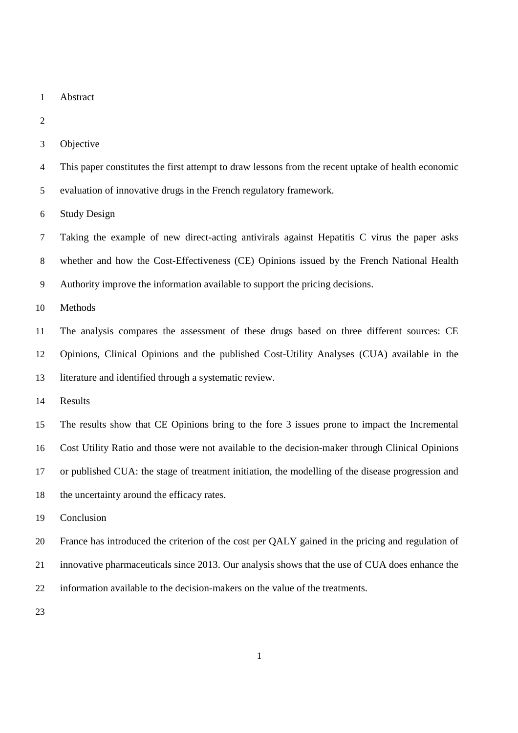- Abstract
- 
- Objective
- This paper constitutes the first attempt to draw lessons from the recent uptake of health economic
- evaluation of innovative drugs in the French regulatory framework.

Study Design

Taking the example of new direct-acting antivirals against Hepatitis C virus the paper asks whether and how the Cost-Effectiveness (CE) Opinions issued by the French National Health Authority improve the information available to support the pricing decisions.

Methods

The analysis compares the assessment of these drugs based on three different sources: CE Opinions, Clinical Opinions and the published Cost-Utility Analyses (CUA) available in the literature and identified through a systematic review.

Results

The results show that CE Opinions bring to the fore 3 issues prone to impact the Incremental Cost Utility Ratio and those were not available to the decision-maker through Clinical Opinions or published CUA: the stage of treatment initiation, the modelling of the disease progression and 18 the uncertainty around the efficacy rates.

Conclusion

France has introduced the criterion of the cost per QALY gained in the pricing and regulation of innovative pharmaceuticals since 2013. Our analysis shows that the use of CUA does enhance the information available to the decision-makers on the value of the treatments.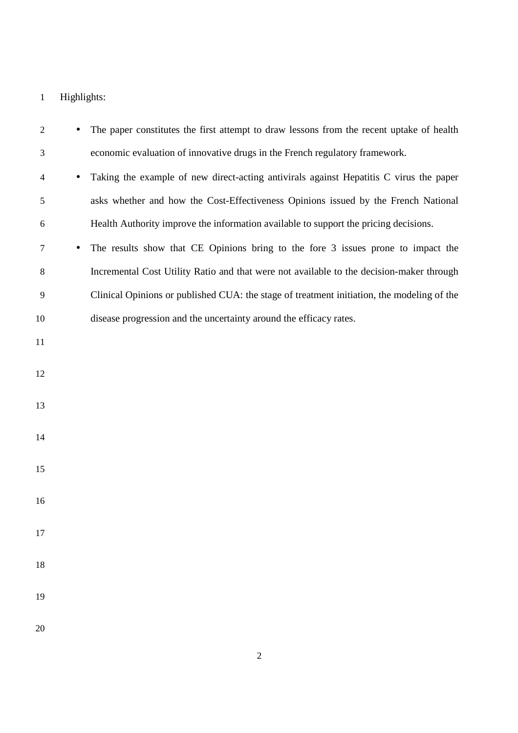# Highlights:

| $\overline{2}$ |           | The paper constitutes the first attempt to draw lessons from the recent uptake of health   |
|----------------|-----------|--------------------------------------------------------------------------------------------|
| 3              |           | economic evaluation of innovative drugs in the French regulatory framework.                |
| $\overline{4}$ |           | Taking the example of new direct-acting antivirals against Hepatitis C virus the paper     |
| 5              |           | asks whether and how the Cost-Effectiveness Opinions issued by the French National         |
| 6              |           | Health Authority improve the information available to support the pricing decisions.       |
| 7              | $\bullet$ | The results show that CE Opinions bring to the fore 3 issues prone to impact the           |
| 8              |           | Incremental Cost Utility Ratio and that were not available to the decision-maker through   |
| 9              |           | Clinical Opinions or published CUA: the stage of treatment initiation, the modeling of the |
| 10             |           | disease progression and the uncertainty around the efficacy rates.                         |
| 11             |           |                                                                                            |
| 12             |           |                                                                                            |
| 13             |           |                                                                                            |
|                |           |                                                                                            |
| 14             |           |                                                                                            |
| 15             |           |                                                                                            |
| 16             |           |                                                                                            |
|                |           |                                                                                            |
| 17             |           |                                                                                            |
| 18             |           |                                                                                            |
| 19             |           |                                                                                            |
|                |           |                                                                                            |
| 20             |           |                                                                                            |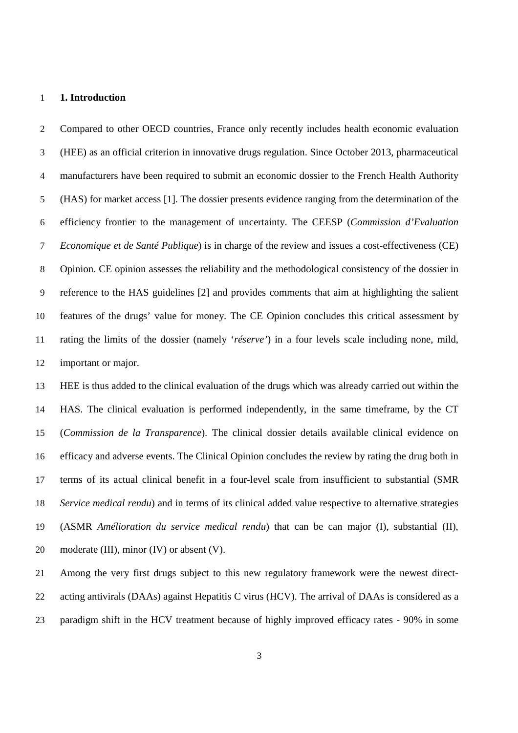#### **1. Introduction**

Compared to other OECD countries, France only recently includes health economic evaluation (HEE) as an official criterion in innovative drugs regulation. Since October 2013, pharmaceutical manufacturers have been required to submit an economic dossier to the French Health Authority (HAS) for market access [1]. The dossier presents evidence ranging from the determination of the efficiency frontier to the management of uncertainty. The CEESP (*Commission d'Evaluation Economique et de Santé Publique*) is in charge of the review and issues a cost-effectiveness (CE) Opinion. CE opinion assesses the reliability and the methodological consistency of the dossier in reference to the HAS guidelines [2] and provides comments that aim at highlighting the salient features of the drugs' value for money. The CE Opinion concludes this critical assessment by rating the limits of the dossier (namely '*réserve'*) in a four levels scale including none, mild, important or major.

HEE is thus added to the clinical evaluation of the drugs which was already carried out within the HAS. The clinical evaluation is performed independently, in the same timeframe, by the CT (*Commission de la Transparence*). The clinical dossier details available clinical evidence on efficacy and adverse events. The Clinical Opinion concludes the review by rating the drug both in terms of its actual clinical benefit in a four-level scale from insufficient to substantial (SMR *Service medical rendu*) and in terms of its clinical added value respective to alternative strategies (ASMR *Amélioration du service medical rendu*) that can be can major (I), substantial (II), 20 moderate (III), minor (IV) or absent (V).

Among the very first drugs subject to this new regulatory framework were the newest direct-acting antivirals (DAAs) against Hepatitis C virus (HCV). The arrival of DAAs is considered as a paradigm shift in the HCV treatment because of highly improved efficacy rates - 90% in some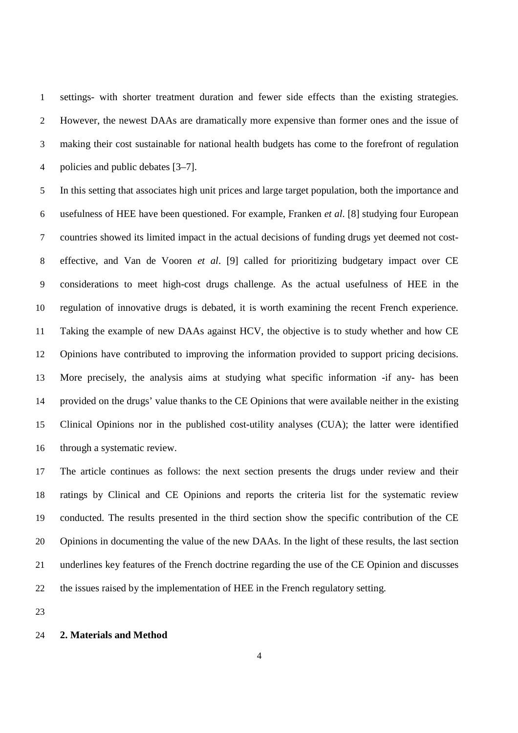settings- with shorter treatment duration and fewer side effects than the existing strategies. However, the newest DAAs are dramatically more expensive than former ones and the issue of making their cost sustainable for national health budgets has come to the forefront of regulation policies and public debates [3–7].

In this setting that associates high unit prices and large target population, both the importance and usefulness of HEE have been questioned. For example, Franken *et al*. [8] studying four European countries showed its limited impact in the actual decisions of funding drugs yet deemed not cost-effective, and Van de Vooren *et al*. [9] called for prioritizing budgetary impact over CE considerations to meet high-cost drugs challenge. As the actual usefulness of HEE in the regulation of innovative drugs is debated, it is worth examining the recent French experience. Taking the example of new DAAs against HCV, the objective is to study whether and how CE Opinions have contributed to improving the information provided to support pricing decisions. More precisely, the analysis aims at studying what specific information -if any- has been provided on the drugs' value thanks to the CE Opinions that were available neither in the existing Clinical Opinions nor in the published cost-utility analyses (CUA); the latter were identified through a systematic review.

The article continues as follows: the next section presents the drugs under review and their ratings by Clinical and CE Opinions and reports the criteria list for the systematic review conducted. The results presented in the third section show the specific contribution of the CE Opinions in documenting the value of the new DAAs. In the light of these results, the last section underlines key features of the French doctrine regarding the use of the CE Opinion and discusses the issues raised by the implementation of HEE in the French regulatory setting.

## **2. Materials and Method**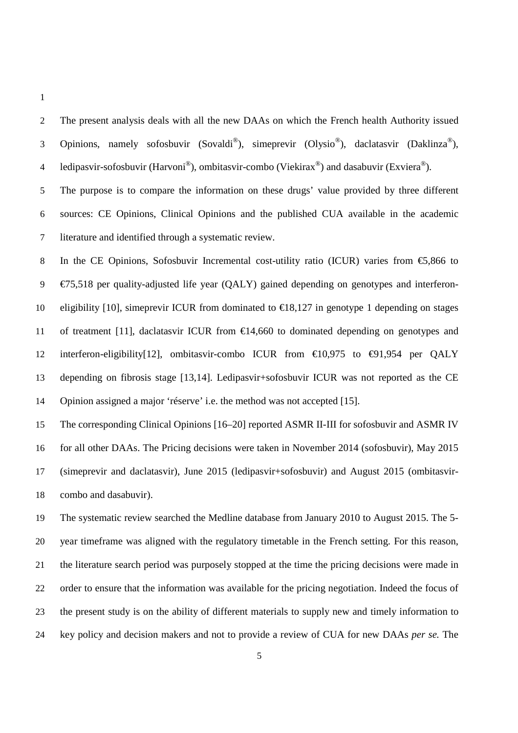The present analysis deals with all the new DAAs on which the French health Authority issued 3 Opinions, namely sofosbuvir (Sovaldi®), simeprevir (Olysio®), daclatasvir (Daklinza®), 4 ledipasvir-sofosbuvir (Harvoni®), ombitasvir-combo (Viekirax®) and dasabuvir (Exviera®).

The purpose is to compare the information on these drugs' value provided by three different sources: CE Opinions, Clinical Opinions and the published CUA available in the academic literature and identified through a systematic review.

In the CE Opinions, Sofosbuvir Incremental cost-utility ratio (ICUR) varies from €5,866 to  $9 \in \mathcal{E}$ 75,518 per quality-adjusted life year (QALY) gained depending on genotypes and interferon-10 eligibility [10], simeprevir ICUR from dominated to  $\epsilon$ 18,127 in genotype 1 depending on stages 11 of treatment [11], daclatasvir ICUR from  $\epsilon$ 14,660 to dominated depending on genotypes and interferon-eligibility[12], ombitasvir-combo ICUR from €10,975 to €91,954 per QALY depending on fibrosis stage [13,14]. Ledipasvir+sofosbuvir ICUR was not reported as the CE Opinion assigned a major 'réserve' i.e. the method was not accepted [15].

The corresponding Clinical Opinions [16–20] reported ASMR II-III for sofosbuvir and ASMR IV

for all other DAAs. The Pricing decisions were taken in November 2014 (sofosbuvir), May 2015 (simeprevir and daclatasvir), June 2015 (ledipasvir+sofosbuvir) and August 2015 (ombitasvir-combo and dasabuvir).

The systematic review searched the Medline database from January 2010 to August 2015. The 5- year timeframe was aligned with the regulatory timetable in the French setting. For this reason, the literature search period was purposely stopped at the time the pricing decisions were made in order to ensure that the information was available for the pricing negotiation. Indeed the focus of the present study is on the ability of different materials to supply new and timely information to key policy and decision makers and not to provide a review of CUA for new DAAs *per se.* The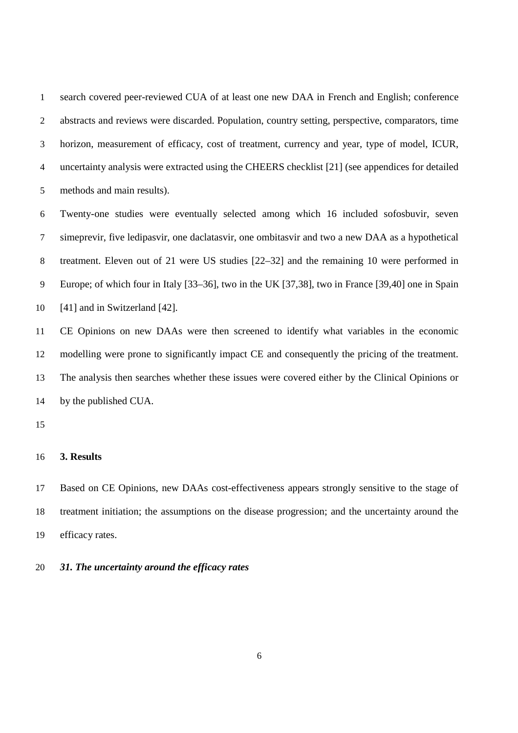search covered peer-reviewed CUA of at least one new DAA in French and English; conference abstracts and reviews were discarded. Population, country setting, perspective, comparators, time horizon, measurement of efficacy, cost of treatment, currency and year, type of model, ICUR, uncertainty analysis were extracted using the CHEERS checklist [21] (see appendices for detailed methods and main results).

Twenty-one studies were eventually selected among which 16 included sofosbuvir, seven simeprevir, five ledipasvir, one daclatasvir, one ombitasvir and two a new DAA as a hypothetical treatment. Eleven out of 21 were US studies [22–32] and the remaining 10 were performed in Europe; of which four in Italy [33–36], two in the UK [37,38], two in France [39,40] one in Spain [41] and in Switzerland [42].

CE Opinions on new DAAs were then screened to identify what variables in the economic modelling were prone to significantly impact CE and consequently the pricing of the treatment. The analysis then searches whether these issues were covered either by the Clinical Opinions or by the published CUA.

#### **3. Results**

Based on CE Opinions, new DAAs cost-effectiveness appears strongly sensitive to the stage of treatment initiation; the assumptions on the disease progression; and the uncertainty around the efficacy rates.

## *31. The uncertainty around the efficacy rates*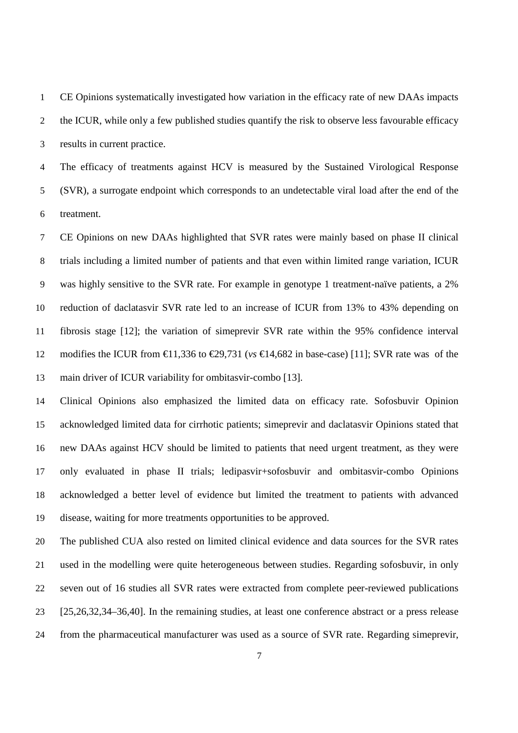CE Opinions systematically investigated how variation in the efficacy rate of new DAAs impacts 2 the ICUR, while only a few published studies quantify the risk to observe less favourable efficacy results in current practice.

The efficacy of treatments against HCV is measured by the Sustained Virological Response (SVR), a surrogate endpoint which corresponds to an undetectable viral load after the end of the treatment.

CE Opinions on new DAAs highlighted that SVR rates were mainly based on phase II clinical trials including a limited number of patients and that even within limited range variation, ICUR was highly sensitive to the SVR rate. For example in genotype 1 treatment-naïve patients, a 2% reduction of daclatasvir SVR rate led to an increase of ICUR from 13% to 43% depending on fibrosis stage [12]; the variation of simeprevir SVR rate within the 95% confidence interval modifies the ICUR from €11,336 to €29,731 (*vs* €14,682 in base-case) [11]; SVR rate was of the main driver of ICUR variability for ombitasvir-combo [13].

Clinical Opinions also emphasized the limited data on efficacy rate. Sofosbuvir Opinion acknowledged limited data for cirrhotic patients; simeprevir and daclatasvir Opinions stated that new DAAs against HCV should be limited to patients that need urgent treatment, as they were only evaluated in phase II trials; ledipasvir+sofosbuvir and ombitasvir-combo Opinions acknowledged a better level of evidence but limited the treatment to patients with advanced disease, waiting for more treatments opportunities to be approved.

The published CUA also rested on limited clinical evidence and data sources for the SVR rates used in the modelling were quite heterogeneous between studies. Regarding sofosbuvir, in only seven out of 16 studies all SVR rates were extracted from complete peer-reviewed publications [25,26,32,34–36,40]. In the remaining studies, at least one conference abstract or a press release from the pharmaceutical manufacturer was used as a source of SVR rate. Regarding simeprevir,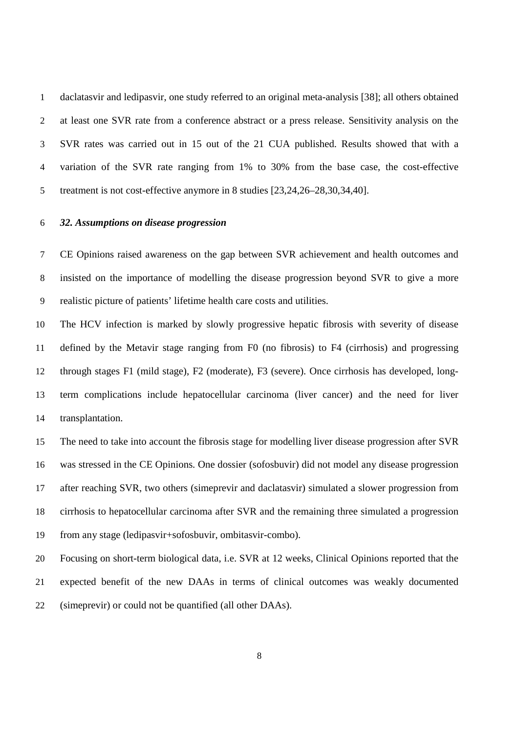daclatasvir and ledipasvir, one study referred to an original meta-analysis [38]; all others obtained at least one SVR rate from a conference abstract or a press release. Sensitivity analysis on the SVR rates was carried out in 15 out of the 21 CUA published. Results showed that with a variation of the SVR rate ranging from 1% to 30% from the base case, the cost-effective treatment is not cost-effective anymore in 8 studies [23,24,26–28,30,34,40].

## *32. Assumptions on disease progression*

CE Opinions raised awareness on the gap between SVR achievement and health outcomes and insisted on the importance of modelling the disease progression beyond SVR to give a more realistic picture of patients' lifetime health care costs and utilities.

The HCV infection is marked by slowly progressive hepatic fibrosis with severity of disease defined by the Metavir stage ranging from F0 (no fibrosis) to F4 (cirrhosis) and progressing through stages F1 (mild stage), F2 (moderate), F3 (severe). Once cirrhosis has developed, long-term complications include hepatocellular carcinoma (liver cancer) and the need for liver transplantation.

The need to take into account the fibrosis stage for modelling liver disease progression after SVR was stressed in the CE Opinions. One dossier (sofosbuvir) did not model any disease progression after reaching SVR, two others (simeprevir and daclatasvir) simulated a slower progression from cirrhosis to hepatocellular carcinoma after SVR and the remaining three simulated a progression from any stage (ledipasvir+sofosbuvir, ombitasvir-combo).

Focusing on short-term biological data, i.e. SVR at 12 weeks, Clinical Opinions reported that the expected benefit of the new DAAs in terms of clinical outcomes was weakly documented (simeprevir) or could not be quantified (all other DAAs).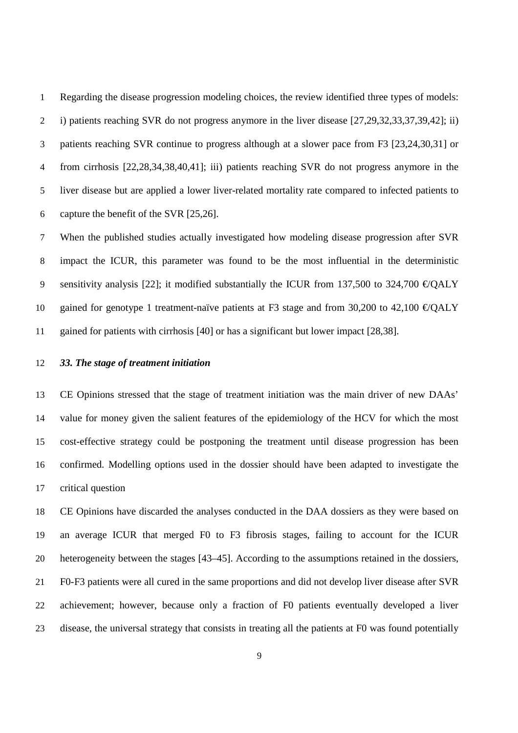Regarding the disease progression modeling choices, the review identified three types of models: i) patients reaching SVR do not progress anymore in the liver disease [27,29,32,33,37,39,42]; ii) patients reaching SVR continue to progress although at a slower pace from F3 [23,24,30,31] or from cirrhosis [22,28,34,38,40,41]; iii) patients reaching SVR do not progress anymore in the liver disease but are applied a lower liver-related mortality rate compared to infected patients to capture the benefit of the SVR [25,26].

When the published studies actually investigated how modeling disease progression after SVR impact the ICUR, this parameter was found to be the most influential in the deterministic 9 sensitivity analysis [22]; it modified substantially the ICUR from 137,500 to 324,700  $\epsilon$ /QALY 10 gained for genotype 1 treatment-naïve patients at F3 stage and from 30,200 to 42,100 €/QALY gained for patients with cirrhosis [40] or has a significant but lower impact [28,38].

## *33. The stage of treatment initiation*

CE Opinions stressed that the stage of treatment initiation was the main driver of new DAAs' value for money given the salient features of the epidemiology of the HCV for which the most cost-effective strategy could be postponing the treatment until disease progression has been confirmed. Modelling options used in the dossier should have been adapted to investigate the critical question

CE Opinions have discarded the analyses conducted in the DAA dossiers as they were based on an average ICUR that merged F0 to F3 fibrosis stages, failing to account for the ICUR heterogeneity between the stages [43–45]. According to the assumptions retained in the dossiers, F0-F3 patients were all cured in the same proportions and did not develop liver disease after SVR achievement; however, because only a fraction of F0 patients eventually developed a liver disease, the universal strategy that consists in treating all the patients at F0 was found potentially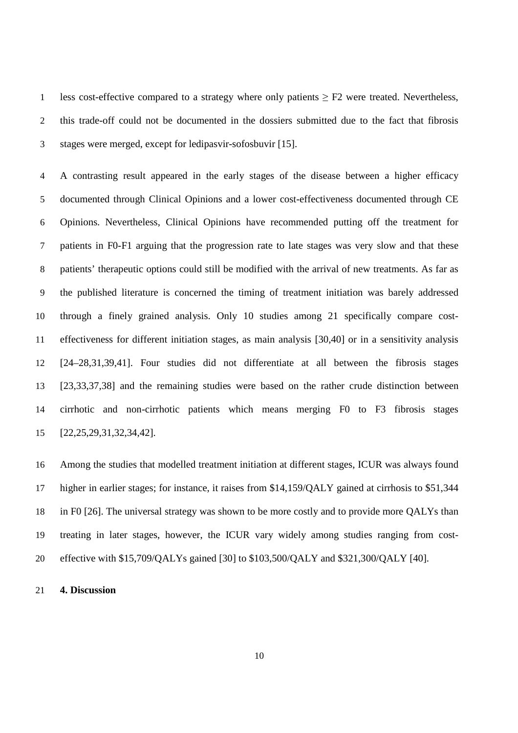1 less cost-effective compared to a strategy where only patients  $\geq$  F2 were treated. Nevertheless, this trade-off could not be documented in the dossiers submitted due to the fact that fibrosis stages were merged, except for ledipasvir-sofosbuvir [15].

A contrasting result appeared in the early stages of the disease between a higher efficacy documented through Clinical Opinions and a lower cost-effectiveness documented through CE Opinions. Nevertheless, Clinical Opinions have recommended putting off the treatment for patients in F0-F1 arguing that the progression rate to late stages was very slow and that these patients' therapeutic options could still be modified with the arrival of new treatments. As far as the published literature is concerned the timing of treatment initiation was barely addressed through a finely grained analysis. Only 10 studies among 21 specifically compare cost-effectiveness for different initiation stages, as main analysis [30,40] or in a sensitivity analysis [24–28,31,39,41]. Four studies did not differentiate at all between the fibrosis stages [23,33,37,38] and the remaining studies were based on the rather crude distinction between cirrhotic and non-cirrhotic patients which means merging F0 to F3 fibrosis stages [22,25,29,31,32,34,42].

Among the studies that modelled treatment initiation at different stages, ICUR was always found higher in earlier stages; for instance, it raises from \$14,159/QALY gained at cirrhosis to \$51,344 in F0 [26]. The universal strategy was shown to be more costly and to provide more QALYs than treating in later stages, however, the ICUR vary widely among studies ranging from cost-effective with \$15,709/QALYs gained [30] to \$103,500/QALY and \$321,300/QALY [40].

## **4. Discussion**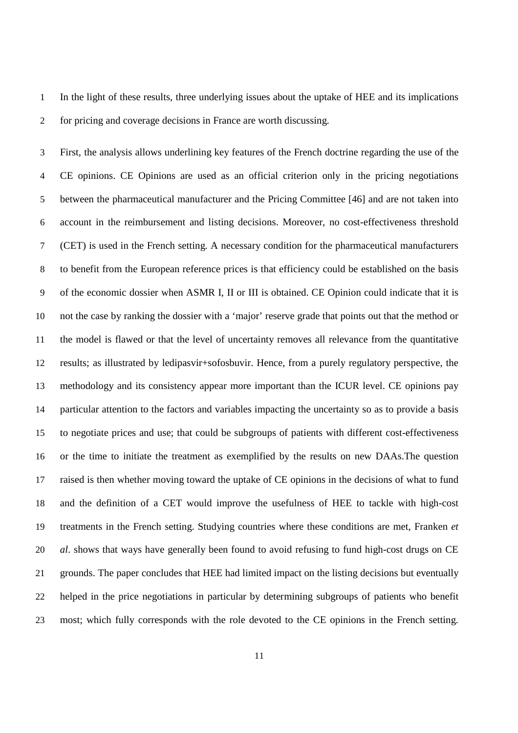In the light of these results, three underlying issues about the uptake of HEE and its implications for pricing and coverage decisions in France are worth discussing.

First, the analysis allows underlining key features of the French doctrine regarding the use of the CE opinions. CE Opinions are used as an official criterion only in the pricing negotiations between the pharmaceutical manufacturer and the Pricing Committee [46] and are not taken into account in the reimbursement and listing decisions. Moreover, no cost-effectiveness threshold (CET) is used in the French setting. A necessary condition for the pharmaceutical manufacturers to benefit from the European reference prices is that efficiency could be established on the basis of the economic dossier when ASMR I, II or III is obtained. CE Opinion could indicate that it is not the case by ranking the dossier with a 'major' reserve grade that points out that the method or the model is flawed or that the level of uncertainty removes all relevance from the quantitative results; as illustrated by ledipasvir+sofosbuvir. Hence, from a purely regulatory perspective, the methodology and its consistency appear more important than the ICUR level. CE opinions pay particular attention to the factors and variables impacting the uncertainty so as to provide a basis to negotiate prices and use; that could be subgroups of patients with different cost-effectiveness or the time to initiate the treatment as exemplified by the results on new DAAs.The question raised is then whether moving toward the uptake of CE opinions in the decisions of what to fund and the definition of a CET would improve the usefulness of HEE to tackle with high-cost treatments in the French setting. Studying countries where these conditions are met, Franken *et al*. shows that ways have generally been found to avoid refusing to fund high-cost drugs on CE grounds. The paper concludes that HEE had limited impact on the listing decisions but eventually helped in the price negotiations in particular by determining subgroups of patients who benefit most; which fully corresponds with the role devoted to the CE opinions in the French setting.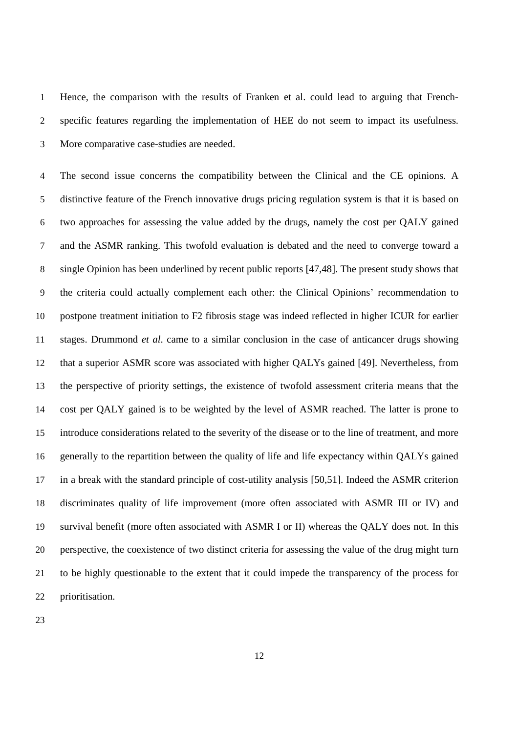Hence, the comparison with the results of Franken et al. could lead to arguing that French-specific features regarding the implementation of HEE do not seem to impact its usefulness. More comparative case-studies are needed.

The second issue concerns the compatibility between the Clinical and the CE opinions. A distinctive feature of the French innovative drugs pricing regulation system is that it is based on two approaches for assessing the value added by the drugs, namely the cost per QALY gained and the ASMR ranking. This twofold evaluation is debated and the need to converge toward a single Opinion has been underlined by recent public reports [47,48]. The present study shows that the criteria could actually complement each other: the Clinical Opinions' recommendation to postpone treatment initiation to F2 fibrosis stage was indeed reflected in higher ICUR for earlier stages. Drummond *et al*. came to a similar conclusion in the case of anticancer drugs showing that a superior ASMR score was associated with higher QALYs gained [49]. Nevertheless, from the perspective of priority settings, the existence of twofold assessment criteria means that the cost per QALY gained is to be weighted by the level of ASMR reached. The latter is prone to introduce considerations related to the severity of the disease or to the line of treatment, and more generally to the repartition between the quality of life and life expectancy within QALYs gained in a break with the standard principle of cost-utility analysis [50,51]. Indeed the ASMR criterion discriminates quality of life improvement (more often associated with ASMR III or IV) and survival benefit (more often associated with ASMR I or II) whereas the QALY does not. In this perspective, the coexistence of two distinct criteria for assessing the value of the drug might turn to be highly questionable to the extent that it could impede the transparency of the process for prioritisation.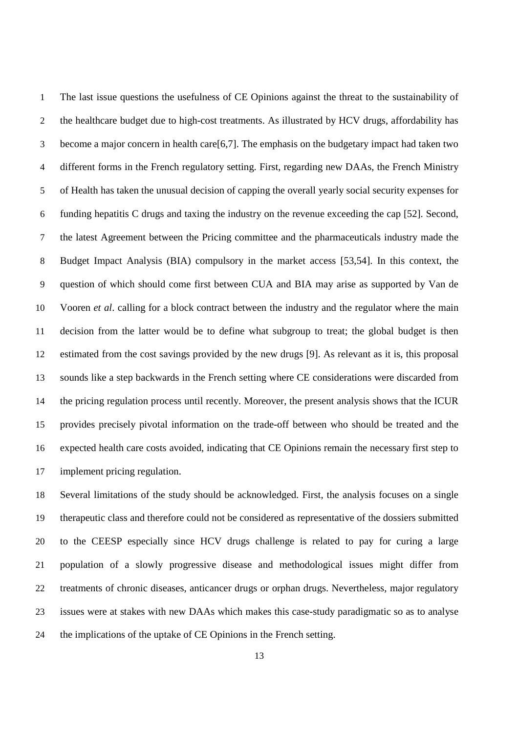The last issue questions the usefulness of CE Opinions against the threat to the sustainability of the healthcare budget due to high-cost treatments. As illustrated by HCV drugs, affordability has become a major concern in health care[6,7]. The emphasis on the budgetary impact had taken two different forms in the French regulatory setting. First, regarding new DAAs, the French Ministry of Health has taken the unusual decision of capping the overall yearly social security expenses for funding hepatitis C drugs and taxing the industry on the revenue exceeding the cap [52]. Second, the latest Agreement between the Pricing committee and the pharmaceuticals industry made the Budget Impact Analysis (BIA) compulsory in the market access [53,54]. In this context, the question of which should come first between CUA and BIA may arise as supported by Van de Vooren *et al*. calling for a block contract between the industry and the regulator where the main decision from the latter would be to define what subgroup to treat; the global budget is then estimated from the cost savings provided by the new drugs [9]. As relevant as it is, this proposal sounds like a step backwards in the French setting where CE considerations were discarded from the pricing regulation process until recently. Moreover, the present analysis shows that the ICUR provides precisely pivotal information on the trade-off between who should be treated and the expected health care costs avoided, indicating that CE Opinions remain the necessary first step to implement pricing regulation.

Several limitations of the study should be acknowledged. First, the analysis focuses on a single therapeutic class and therefore could not be considered as representative of the dossiers submitted to the CEESP especially since HCV drugs challenge is related to pay for curing a large population of a slowly progressive disease and methodological issues might differ from treatments of chronic diseases, anticancer drugs or orphan drugs. Nevertheless, major regulatory issues were at stakes with new DAAs which makes this case-study paradigmatic so as to analyse the implications of the uptake of CE Opinions in the French setting.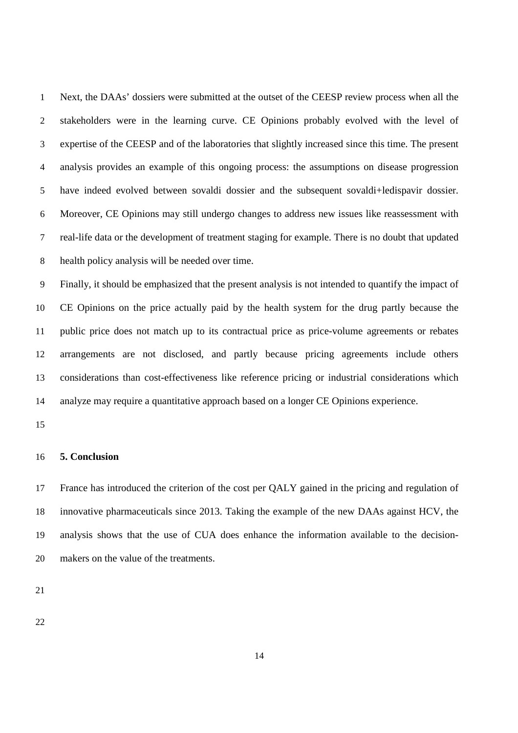Next, the DAAs' dossiers were submitted at the outset of the CEESP review process when all the stakeholders were in the learning curve. CE Opinions probably evolved with the level of expertise of the CEESP and of the laboratories that slightly increased since this time. The present analysis provides an example of this ongoing process: the assumptions on disease progression have indeed evolved between sovaldi dossier and the subsequent sovaldi+ledispavir dossier. Moreover, CE Opinions may still undergo changes to address new issues like reassessment with real-life data or the development of treatment staging for example. There is no doubt that updated health policy analysis will be needed over time.

Finally, it should be emphasized that the present analysis is not intended to quantify the impact of CE Opinions on the price actually paid by the health system for the drug partly because the public price does not match up to its contractual price as price-volume agreements or rebates arrangements are not disclosed, and partly because pricing agreements include others considerations than cost-effectiveness like reference pricing or industrial considerations which analyze may require a quantitative approach based on a longer CE Opinions experience.

#### **5. Conclusion**

France has introduced the criterion of the cost per QALY gained in the pricing and regulation of innovative pharmaceuticals since 2013. Taking the example of the new DAAs against HCV, the analysis shows that the use of CUA does enhance the information available to the decision-makers on the value of the treatments.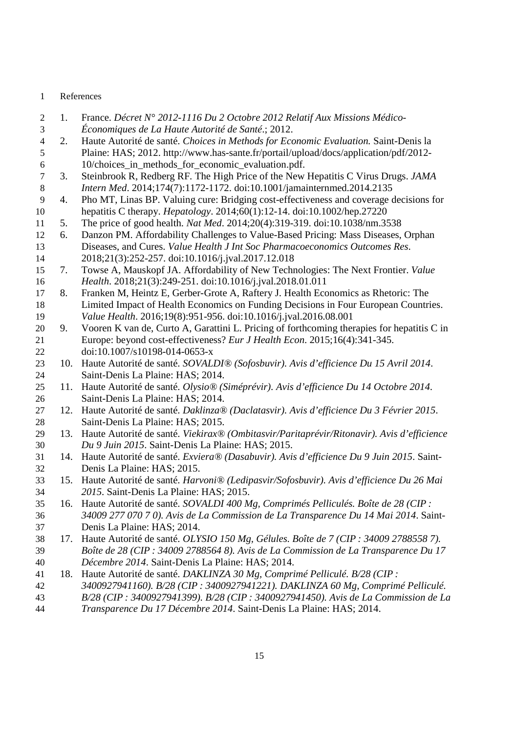#### 1 References

- 1. France. *Décret N° 2012-1116 Du 2 Octobre 2012 Relatif Aux Missions Médico-*
- *Économiques de La Haute Autorité de Santé*.; 2012.
- 2. Haute Autorité de santé. *Choices in Methods for Economic Evaluation.* Saint-Denis la Plaine: HAS; 2012. http://www.has-sante.fr/portail/upload/docs/application/pdf/2012- 10/choices\_in\_methods\_for\_economic\_evaluation.pdf.
- 3. Steinbrook R, Redberg RF. The High Price of the New Hepatitis C Virus Drugs. *JAMA Intern Med*. 2014;174(7):1172-1172. doi:10.1001/jamainternmed.2014.2135
- 4. Pho MT, Linas BP. Valuing cure: Bridging cost-effectiveness and coverage decisions for hepatitis C therapy. *Hepatology*. 2014;60(1):12-14. doi:10.1002/hep.27220
- 5. The price of good health. *Nat Med*. 2014;20(4):319-319. doi:10.1038/nm.3538
- 6. Danzon PM. Affordability Challenges to Value-Based Pricing: Mass Diseases, Orphan Diseases, and Cures. *Value Health J Int Soc Pharmacoeconomics Outcomes Res*. 2018;21(3):252-257. doi:10.1016/j.jval.2017.12.018
- 7. Towse A, Mauskopf JA. Affordability of New Technologies: The Next Frontier. *Value Health*. 2018;21(3):249-251. doi:10.1016/j.jval.2018.01.011
- 8. Franken M, Heintz E, Gerber-Grote A, Raftery J. Health Economics as Rhetoric: The Limited Impact of Health Economics on Funding Decisions in Four European Countries. *Value Health*. 2016;19(8):951-956. doi:10.1016/j.jval.2016.08.001
- 9. Vooren K van de, Curto A, Garattini L. Pricing of forthcoming therapies for hepatitis C in Europe: beyond cost-effectiveness? *Eur J Health Econ*. 2015;16(4):341-345. 22 doi:10.1007/s10198-014-0653-x
- 10. Haute Autorité de santé. *SOVALDI® (Sofosbuvir). Avis d'efficience Du 15 Avril 2014*. Saint-Denis La Plaine: HAS; 2014.
- 11. Haute Autorité de santé. *Olysio® (Siméprévir). Avis d'efficience Du 14 Octobre 2014*. Saint-Denis La Plaine: HAS; 2014.
- 12. Haute Autorité de santé. *Daklinza® (Daclatasvir). Avis d'efficience Du 3 Février 2015*. Saint-Denis La Plaine: HAS; 2015.
- 13. Haute Autorité de santé. *Viekirax® (Ombitasvir/Paritaprévir/Ritonavir). Avis d'efficience Du 9 Juin 2015*. Saint-Denis La Plaine: HAS; 2015.
- 14. Haute Autorité de santé. *Exviera® (Dasabuvir). Avis d'efficience Du 9 Juin 2015*. Saint-Denis La Plaine: HAS; 2015.
- 15. Haute Autorité de santé. *Harvoni® (Ledipasvir/Sofosbuvir). Avis d'efficience Du 26 Mai 2015*. Saint-Denis La Plaine: HAS; 2015.
- 16. Haute Autorité de santé. *SOVALDI 400 Mg, Comprimés Pelliculés. Boîte de 28 (CIP : 34009 277 070 7 0). Avis de La Commission de La Transparence Du 14 Mai 2014*. Saint-
- Denis La Plaine: HAS; 2014.
- 17. Haute Autorité de santé. *OLYSIO 150 Mg, Gélules. Boîte de 7 (CIP : 34009 2788558 7). Boîte de 28 (CIP : 34009 2788564 8). Avis de La Commission de La Transparence Du 17 Décembre 2014*. Saint-Denis La Plaine: HAS; 2014.
- 18. Haute Autorité de santé. *DAKLINZA 30 Mg, Comprimé Pelliculé. B/28 (CIP :*
- *3400927941160). B/28 (CIP : 3400927941221). DAKLINZA 60 Mg, Comprimé Pelliculé.*
- *B/28 (CIP : 3400927941399). B/28 (CIP : 3400927941450). Avis de La Commission de La*
- *Transparence Du 17 Décembre 2014*. Saint-Denis La Plaine: HAS; 2014.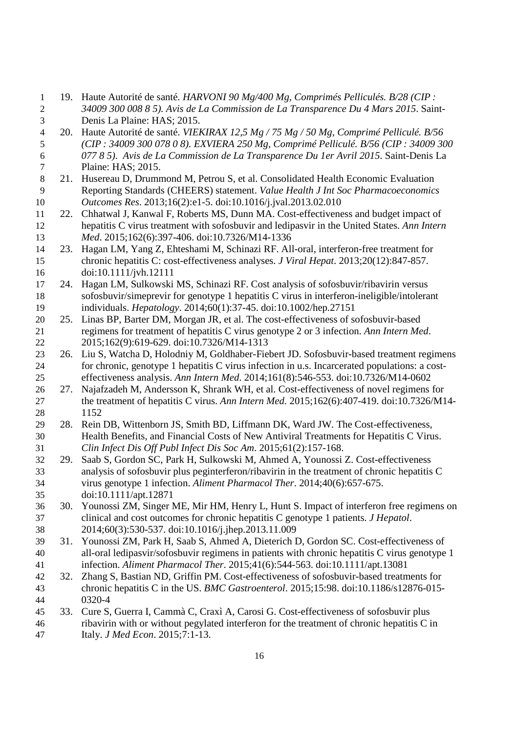- 19. Haute Autorité de santé. *HARVONI 90 Mg/400 Mg, Comprimés Pelliculés. B/28 (CIP : 34009 300 008 8 5). Avis de La Commission de La Transparence Du 4 Mars 2015*. Saint-Denis La Plaine: HAS; 2015.
- 20. Haute Autorité de santé. *VIEKIRAX 12,5 Mg / 75 Mg / 50 Mg, Comprimé Pelliculé. B/56 (CIP : 34009 300 078 0 8). EXVIERA 250 Mg, Comprimé Pelliculé. B/56 (CIP : 34009 300 077 8 5). Avis de La Commission de La Transparence Du 1er Avril 2015*. Saint-Denis La Plaine: HAS; 2015.
- 21. Husereau D, Drummond M, Petrou S, et al. Consolidated Health Economic Evaluation Reporting Standards (CHEERS) statement. *Value Health J Int Soc Pharmacoeconomics Outcomes Res*. 2013;16(2):e1-5. doi:10.1016/j.jval.2013.02.010
- 22. Chhatwal J, Kanwal F, Roberts MS, Dunn MA. Cost-effectiveness and budget impact of hepatitis C virus treatment with sofosbuvir and ledipasvir in the United States. *Ann Intern Med*. 2015;162(6):397-406. doi:10.7326/M14-1336
- 23. Hagan LM, Yang Z, Ehteshami M, Schinazi RF. All-oral, interferon-free treatment for chronic hepatitis C: cost-effectiveness analyses. *J Viral Hepat*. 2013;20(12):847-857. doi:10.1111/jvh.12111
- 24. Hagan LM, Sulkowski MS, Schinazi RF. Cost analysis of sofosbuvir/ribavirin versus sofosbuvir/simeprevir for genotype 1 hepatitis C virus in interferon-ineligible/intolerant individuals. *Hepatology*. 2014;60(1):37-45. doi:10.1002/hep.27151
- 25. Linas BP, Barter DM, Morgan JR, et al. The cost-effectiveness of sofosbuvir-based regimens for treatment of hepatitis C virus genotype 2 or 3 infection. *Ann Intern Med*. 2015;162(9):619-629. doi:10.7326/M14-1313
- 26. Liu S, Watcha D, Holodniy M, Goldhaber-Fiebert JD. Sofosbuvir-based treatment regimens for chronic, genotype 1 hepatitis C virus infection in u.s. Incarcerated populations: a cost-effectiveness analysis. *Ann Intern Med*. 2014;161(8):546-553. doi:10.7326/M14-0602
- 27. Najafzadeh M, Andersson K, Shrank WH, et al. Cost-effectiveness of novel regimens for the treatment of hepatitis C virus. *Ann Intern Med*. 2015;162(6):407-419. doi:10.7326/M14- 1152
- 28. Rein DB, Wittenborn JS, Smith BD, Liffmann DK, Ward JW. The Cost-effectiveness, Health Benefits, and Financial Costs of New Antiviral Treatments for Hepatitis C Virus. *Clin Infect Dis Off Publ Infect Dis Soc Am*. 2015;61(2):157-168.
- 29. Saab S, Gordon SC, Park H, Sulkowski M, Ahmed A, Younossi Z. Cost-effectiveness analysis of sofosbuvir plus peginterferon/ribavirin in the treatment of chronic hepatitis C virus genotype 1 infection. *Aliment Pharmacol Ther*. 2014;40(6):657-675. doi:10.1111/apt.12871
- 30. Younossi ZM, Singer ME, Mir HM, Henry L, Hunt S. Impact of interferon free regimens on clinical and cost outcomes for chronic hepatitis C genotype 1 patients. *J Hepatol*. 2014;60(3):530-537. doi:10.1016/j.jhep.2013.11.009
- 31. Younossi ZM, Park H, Saab S, Ahmed A, Dieterich D, Gordon SC. Cost-effectiveness of all-oral ledipasvir/sofosbuvir regimens in patients with chronic hepatitis C virus genotype 1 infection. *Aliment Pharmacol Ther*. 2015;41(6):544-563. doi:10.1111/apt.13081
- 32. Zhang S, Bastian ND, Griffin PM. Cost-effectiveness of sofosbuvir-based treatments for chronic hepatitis C in the US. *BMC Gastroenterol*. 2015;15:98. doi:10.1186/s12876-015- 0320-4
- 33. Cure S, Guerra I, Cammà C, Craxì A, Carosi G. Cost-effectiveness of sofosbuvir plus ribavirin with or without pegylated interferon for the treatment of chronic hepatitis C in Italy. *J Med Econ*. 2015;7:1-13.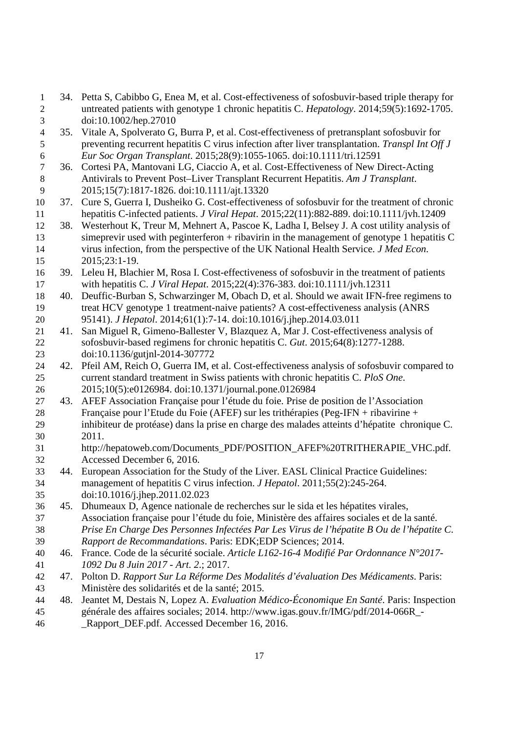- 34. Petta S, Cabibbo G, Enea M, et al. Cost-effectiveness of sofosbuvir-based triple therapy for untreated patients with genotype 1 chronic hepatitis C. *Hepatology*. 2014;59(5):1692-1705. doi:10.1002/hep.27010
- 35. Vitale A, Spolverato G, Burra P, et al. Cost-effectiveness of pretransplant sofosbuvir for preventing recurrent hepatitis C virus infection after liver transplantation. *Transpl Int Off J Eur Soc Organ Transplant*. 2015;28(9):1055-1065. doi:10.1111/tri.12591
- 36. Cortesi PA, Mantovani LG, Ciaccio A, et al. Cost-Effectiveness of New Direct-Acting Antivirals to Prevent Post–Liver Transplant Recurrent Hepatitis. *Am J Transplant*. 2015;15(7):1817-1826. doi:10.1111/ajt.13320
- 37. Cure S, Guerra I, Dusheiko G. Cost-effectiveness of sofosbuvir for the treatment of chronic hepatitis C-infected patients. *J Viral Hepat*. 2015;22(11):882-889. doi:10.1111/jvh.12409
- 38. Westerhout K, Treur M, Mehnert A, Pascoe K, Ladha I, Belsey J. A cost utility analysis of simeprevir used with peginterferon + ribavirin in the management of genotype 1 hepatitis C virus infection, from the perspective of the UK National Health Service. *J Med Econ*. 2015;23:1-19.
- 39. Leleu H, Blachier M, Rosa I. Cost-effectiveness of sofosbuvir in the treatment of patients with hepatitis C. *J Viral Hepat*. 2015;22(4):376-383. doi:10.1111/jvh.12311
- 40. Deuffic-Burban S, Schwarzinger M, Obach D, et al. Should we await IFN-free regimens to treat HCV genotype 1 treatment-naive patients? A cost-effectiveness analysis (ANRS 95141). *J Hepatol*. 2014;61(1):7-14. doi:10.1016/j.jhep.2014.03.011
- 41. San Miguel R, Gimeno-Ballester V, Blazquez A, Mar J. Cost-effectiveness analysis of sofosbuvir-based regimens for chronic hepatitis C. *Gut*. 2015;64(8):1277-1288. doi:10.1136/gutjnl-2014-307772
- 42. Pfeil AM, Reich O, Guerra IM, et al. Cost-effectiveness analysis of sofosbuvir compared to current standard treatment in Swiss patients with chronic hepatitis C. *PloS One*. 2015;10(5):e0126984. doi:10.1371/journal.pone.0126984
- 43. AFEF Association Française pour l'étude du foie. Prise de position de l'Association Française pour l'Etude du Foie (AFEF) sur les trithérapies (Peg-IFN + ribavirine + inhibiteur de protéase) dans la prise en charge des malades atteints d'hépatite chronique C. 2011.
- http://hepatoweb.com/Documents\_PDF/POSITION\_AFEF%20TRITHERAPIE\_VHC.pdf. Accessed December 6, 2016.
- 44. European Association for the Study of the Liver. EASL Clinical Practice Guidelines: management of hepatitis C virus infection. *J Hepatol*. 2011;55(2):245-264. doi:10.1016/j.jhep.2011.02.023
- 45. Dhumeaux D, Agence nationale de recherches sur le sida et les hépatites virales, Association française pour l'étude du foie, Ministère des affaires sociales et de la santé. *Prise En Charge Des Personnes Infectées Par Les Virus de l'hépatite B Ou de l'hépatite C. Rapport de Recommandations*. Paris: EDK;EDP Sciences; 2014.
- 46. France. Code de la sécurité sociale. *Article L162-16-4 Modifié Par Ordonnance N°2017- 1092 Du 8 Juin 2017 - Art. 2*.; 2017.
- 47. Polton D. *Rapport Sur La Réforme Des Modalités d'évaluation Des Médicaments*. Paris: Ministère des solidarités et de la santé; 2015.
- 48. Jeantet M, Destais N, Lopez A. *Evaluation Médico-Économique En Santé*. Paris: Inspection générale des affaires sociales; 2014. http://www.igas.gouv.fr/IMG/pdf/2014-066R\_- **Rapport DEF.pdf. Accessed December 16, 2016.**